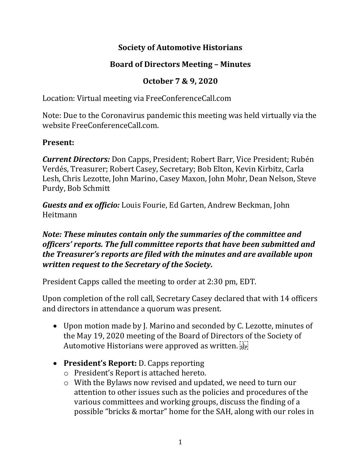# **Society of Automotive Historians**

## **Board of Directors Meeting – Minutes**

# **October 7 & 9, 2020**

Location: Virtual meeting via FreeConferenceCall.com

Note: Due to the Coronavirus pandemic this meeting was held virtually via the website FreeConferenceCall.com.

### **Present:**

*Current Directors:* Don Capps, President; Robert Barr, Vice President; Rubén Verdés, Treasurer; Robert Casey, Secretary; Bob Elton, Kevin Kirbitz, Carla Lesh, Chris Lezotte, John Marino, Casey Maxon, John Mohr, Dean Nelson, Steve Purdy, Bob Schmitt

*Guests and ex officio:* Louis Fourie, Ed Garten, Andrew Beckman, John Heitmann

### *Note: These minutes contain only the summaries of the committee and officers' reports. The full committee reports that have been submitted and the Treasurer's reports are filed with the minutes and are available upon written request to the Secretary of the Society.*

President Capps called the meeting to order at 2:30 pm, EDT.

Upon completion of the roll call, Secretary Casey declared that with 14 officers and directors in attendance a quorum was present.

- Upon motion made by J. Marino and seconded by C. Lezotte, minutes of the May 19, 2020 meeting of the Board of Directors of the Society of Automotive Historians were approved as written.
- **President's Report:** D. Capps reporting
	- o President's Report is attached hereto.
	- o With the Bylaws now revised and updated, we need to turn our attention to other issues such as the policies and procedures of the various committees and working groups, discuss the finding of a possible "bricks & mortar" home for the SAH, along with our roles in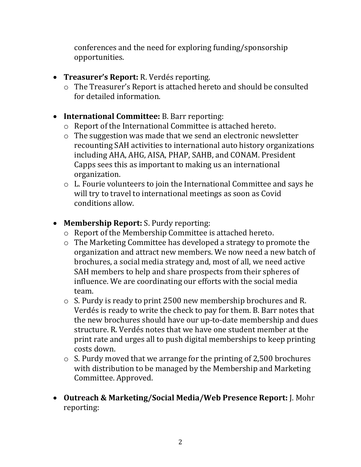conferences and the need for exploring funding/sponsorship opportunities.

- **Treasurer's Report:** R. Verdés reporting.
	- o The Treasurer's Report is attached hereto and should be consulted for detailed information.
- **International Committee:** B. Barr reporting:
	- o Report of the International Committee is attached hereto.
	- o The suggestion was made that we send an electronic newsletter recounting SAH activities to international auto history organizations including AHA, AHG, AISA, PHAP, SAHB, and CONAM. President Capps sees this as important to making us an international organization.
	- o L. Fourie volunteers to join the International Committee and says he will try to travel to international meetings as soon as Covid conditions allow.
- **Membership Report:** S. Purdy reporting:
	- o Report of the Membership Committee is attached hereto.
	- o The Marketing Committee has developed a strategy to promote the organization and attract new members. We now need a new batch of brochures, a social media strategy and, most of all, we need active SAH members to help and share prospects from their spheres of influence. We are coordinating our efforts with the social media team.
	- o S. Purdy is ready to print 2500 new membership brochures and R. Verdés is ready to write the check to pay for them. B. Barr notes that the new brochures should have our up-to-date membership and dues structure. R. Verdés notes that we have one student member at the print rate and urges all to push digital memberships to keep printing costs down.
	- o S. Purdy moved that we arrange for the printing of 2,500 brochures with distribution to be managed by the Membership and Marketing Committee. Approved.
- **Outreach & Marketing/Social Media/Web Presence Report:** J. Mohr reporting: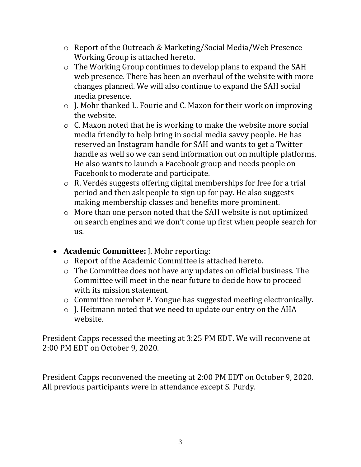- o Report of the Outreach & Marketing/Social Media/Web Presence Working Group is attached hereto.
- o The Working Group continues to develop plans to expand the SAH web presence. There has been an overhaul of the website with more changes planned. We will also continue to expand the SAH social media presence.
- o J. Mohr thanked L. Fourie and C. Maxon for their work on improving the website.
- o C. Maxon noted that he is working to make the website more social media friendly to help bring in social media savvy people. He has reserved an Instagram handle for SAH and wants to get a Twitter handle as well so we can send information out on multiple platforms. He also wants to launch a Facebook group and needs people on Facebook to moderate and participate.
- o R. Verdés suggests offering digital memberships for free for a trial period and then ask people to sign up for pay. He also suggests making membership classes and benefits more prominent.
- o More than one person noted that the SAH website is not optimized on search engines and we don't come up first when people search for us.
- **Academic Committee:** J. Mohr reporting:
	- o Report of the Academic Committee is attached hereto.
	- o The Committee does not have any updates on official business. The Committee will meet in the near future to decide how to proceed with its mission statement.
	- o Committee member P. Yongue has suggested meeting electronically.
	- o J. Heitmann noted that we need to update our entry on the AHA website.

President Capps recessed the meeting at 3:25 PM EDT. We will reconvene at 2:00 PM EDT on October 9, 2020.

President Capps reconvened the meeting at 2:00 PM EDT on October 9, 2020. All previous participants were in attendance except S. Purdy.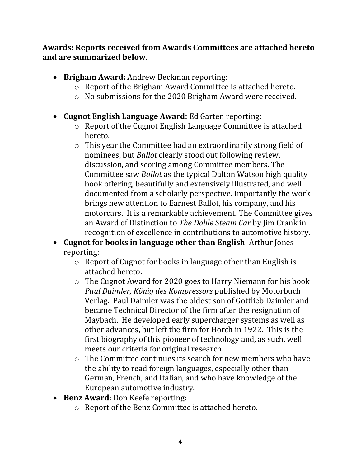**Awards: Reports received from Awards Committees are attached hereto and are summarized below.**

- **Brigham Award:** Andrew Beckman reporting:
	- o Report of the Brigham Award Committee is attached hereto.
	- o No submissions for the 2020 Brigham Award were received.
- **Cugnot English Language Award:** Ed Garten reporting**:**
	- o Report of the Cugnot English Language Committee is attached hereto.
	- o This year the Committee had an extraordinarily strong field of nominees, but *Ballot* clearly stood out following review, discussion, and scoring among Committee members. The Committee saw *Ballot* as the typical Dalton Watson high quality book offering, beautifully and extensively illustrated, and well documented from a scholarly perspective. Importantly the work brings new attention to Earnest Ballot, his company, and his motorcars. It is a remarkable achievement. The Committee gives an Award of Distinction to *The Doble Steam Car* by Jim Crank in recognition of excellence in contributions to automotive history.
- **Cugnot for books in language other than English**: Arthur Jones reporting:
	- o Report of Cugnot for books in language other than English is attached hereto.
	- o The Cugnot Award for 2020 goes to Harry Niemann for his book *Paul Daimler, König des Kompressors* published by Motorbuch Verlag. Paul Daimler was the oldest son of Gottlieb Daimler and became Technical Director of the firm after the resignation of Maybach. He developed early supercharger systems as well as other advances, but left the firm for Horch in 1922. This is the first biography of this pioneer of technology and, as such, well meets our criteria for original research.
	- o The Committee continues its search for new members who have the ability to read foreign languages, especially other than German, French, and Italian, and who have knowledge of the European automotive industry.
- **Benz Award**: Don Keefe reporting:
	- o Report of the Benz Committee is attached hereto.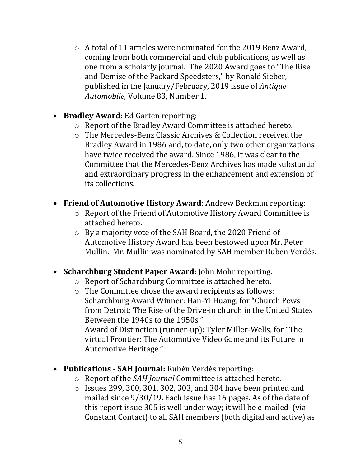- o A total of 11 articles were nominated for the 2019 Benz Award, coming from both commercial and club publications, as well as one from a scholarly journal. The 2020 Award goes to "The Rise and Demise of the Packard Speedsters," by Ronald Sieber, published in the January/February, 2019 issue of *Antique Automobile,* Volume 83, Number 1.
- **Bradley Award:** Ed Garten reporting:
	- o Report of the Bradley Award Committee is attached hereto.
	- o The Mercedes-Benz Classic Archives & Collection received the Bradley Award in 1986 and, to date, only two other organizations have twice received the award. Since 1986, it was clear to the Committee that the Mercedes-Benz Archives has made substantial and extraordinary progress in the enhancement and extension of its collections.
- **Friend of Automotive History Award:** Andrew Beckman reporting:
	- o Report of the Friend of Automotive History Award Committee is attached hereto.
	- o By a majority vote of the SAH Board, the 2020 Friend of Automotive History Award has been bestowed upon Mr. Peter Mullin. Mr. Mullin was nominated by SAH member Ruben Verdés.
- **Scharchburg Student Paper Award:** John Mohr reporting.
	- o Report of Scharchburg Committee is attached hereto.
	- o The Committee chose the award recipients as follows: Scharchburg Award Winner: Han-Yi Huang, for "Church Pews from Detroit: The Rise of the Drive-in church in the United States Between the 1940s to the 1950s." Award of Distinction (runner-up): Tyler Miller-Wells, for "The virtual Frontier: The Automotive Video Game and its Future in Automotive Heritage."
- **Publications - SAH Journal:** Rubén Verdés reporting:
	- o Report of the *SAH Journal* Committee is attached hereto.
	- o Issues 299, 300, 301, 302, 303, and 304 have been printed and mailed since 9/30/19. Each issue has 16 pages. As of the date of this report issue 305 is well under way; it will be e-mailed (via Constant Contact) to all SAH members (both digital and active) as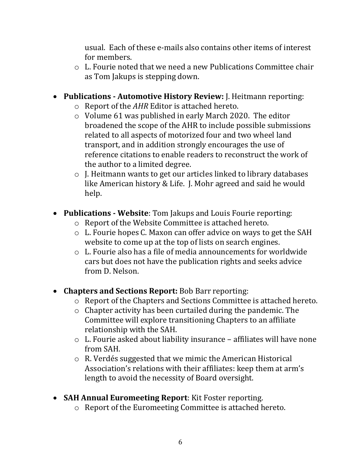usual. Each of these e-mails also contains other items of interest for members.

- o L. Fourie noted that we need a new Publications Committee chair as Tom Jakups is stepping down.
- **Publications - Automotive History Review:** J. Heitmann reporting:
	- o Report of the *AHR* Editor is attached hereto.
	- o Volume 61 was published in early March 2020. The editor broadened the scope of the AHR to include possible submissions related to all aspects of motorized four and two wheel land transport, and in addition strongly encourages the use of reference citations to enable readers to reconstruct the work of the author to a limited degree.
	- o J. Heitmann wants to get our articles linked to library databases like American history & Life. J. Mohr agreed and said he would help.
- **Publications - Website**: Tom Jakups and Louis Fourie reporting:
	- o Report of the Website Committee is attached hereto.
	- o L. Fourie hopes C. Maxon can offer advice on ways to get the SAH website to come up at the top of lists on search engines.
	- o L. Fourie also has a file of media announcements for worldwide cars but does not have the publication rights and seeks advice from D. Nelson.
- **Chapters and Sections Report:** Bob Barr reporting:
	- o Report of the Chapters and Sections Committee is attached hereto.
	- o Chapter activity has been curtailed during the pandemic. The Committee will explore transitioning Chapters to an affiliate relationship with the SAH.
	- o L. Fourie asked about liability insurance affiliates will have none from SAH.
	- o R. Verdés suggested that we mimic the American Historical Association's relations with their affiliates: keep them at arm's length to avoid the necessity of Board oversight.
- **SAH Annual Euromeeting Report**: Kit Foster reporting.
	- o Report of the Euromeeting Committee is attached hereto.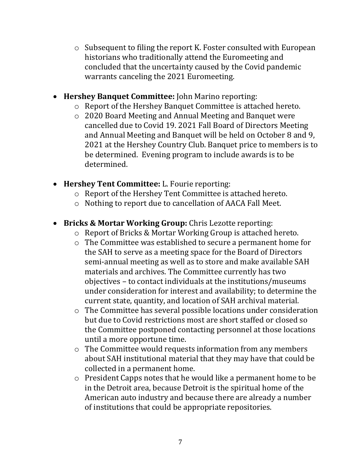- o Subsequent to filing the report K. Foster consulted with European historians who traditionally attend the Euromeeting and concluded that the uncertainty caused by the Covid pandemic warrants canceling the 2021 Euromeeting.
- **Hershey Banquet Committee:** John Marino reporting:
	- o Report of the Hershey Banquet Committee is attached hereto.
	- o 2020 Board Meeting and Annual Meeting and Banquet were cancelled due to Covid 19. 2021 Fall Board of Directors Meeting and Annual Meeting and Banquet will be held on October 8 and 9, 2021 at the Hershey Country Club. Banquet price to members is to be determined. Evening program to include awards is to be determined.
- **Hershey Tent Committee:** L. Fourie reporting:
	- o Report of the Hershey Tent Committee is attached hereto.
	- o Nothing to report due to cancellation of AACA Fall Meet.
- **Bricks & Mortar Working Group:** Chris Lezotte reporting:
	- o Report of Bricks & Mortar Working Group is attached hereto.
	- o The Committee was established to secure a permanent home for the SAH to serve as a meeting space for the Board of Directors semi-annual meeting as well as to store and make available SAH materials and archives. The Committee currently has two objectives – to contact individuals at the institutions/museums under consideration for interest and availability; to determine the current state, quantity, and location of SAH archival material.
	- o The Committee has several possible locations under consideration but due to Covid restrictions most are short staffed or closed so the Committee postponed contacting personnel at those locations until a more opportune time.
	- o The Committee would requests information from any members about SAH institutional material that they may have that could be collected in a permanent home.
	- o President Capps notes that he would like a permanent home to be in the Detroit area, because Detroit is the spiritual home of the American auto industry and because there are already a number of institutions that could be appropriate repositories.